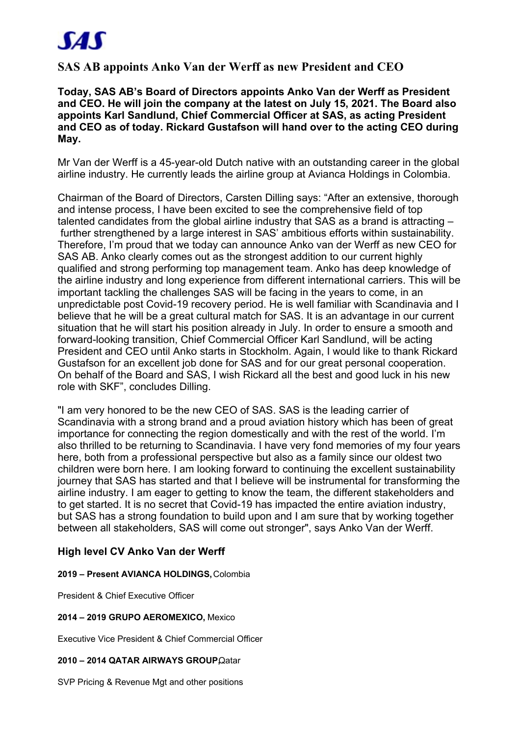

# **SAS AB appoints Anko Van der Werff as new President and CEO**

**Today, SAS AB's Board of Directors appoints Anko Van der Werff as President and CEO. He will join the company at the latest on July 15, 2021. The Board also appoints Karl Sandlund, Chief Commercial Officer at SAS, as acting President and CEO as of today. Rickard Gustafson will hand over to the acting CEO during May.**

Mr Van der Werff is a 45-year-old Dutch native with an outstanding career in the global airline industry. He currently leads the airline group at Avianca Holdings in Colombia.

Chairman of the Board of Directors, Carsten Dilling says: "After an extensive, thorough and intense process, I have been excited to see the comprehensive field of top talented candidates from the global airline industry that SAS as a brand is attracting – further strengthened by a large interest in SAS' ambitious efforts within sustainability. Therefore, I'm proud that we today can announce Anko van der Werff as new CEO for SAS AB. Anko clearly comes out as the strongest addition to our current highly qualified and strong performing top management team. Anko has deep knowledge of the airline industry and long experience from different international carriers. This will be important tackling the challenges SAS will be facing in the years to come, in an unpredictable post Covid-19 recovery period. He is well familiar with Scandinavia and I believe that he will be a great cultural match for SAS. It is an advantage in our current situation that he will start his position already in July. In order to ensure a smooth and forward-looking transition, Chief Commercial Officer Karl Sandlund, will be acting President and CEO until Anko starts in Stockholm. Again, I would like to thank Rickard Gustafson for an excellent job done for SAS and for our great personal cooperation. On behalf of the Board and SAS, I wish Rickard all the best and good luck in his new role with SKF", concludes Dilling.

"I am very honored to be the new CEO of SAS. SAS is the leading carrier of Scandinavia with a strong brand and a proud aviation history which has been of great importance for connecting the region domestically and with the rest of the world. I'm also thrilled to be returning to Scandinavia. I have very fond memories of my four years here, both from a professional perspective but also as a family since our oldest two children were born here. I am looking forward to continuing the excellent sustainability iournev that SAS has started and that I believe will be instrumental for transforming the airline industry. I am eager to getting to know the team, the different stakeholders and to get started. It is no secret that Covid-19 has impacted the entire aviation industry, but SAS has a strong foundation to build upon and I am sure that by working together between all stakeholders, SAS will come out stronger", says Anko Van der Werff.

# **High level CV Anko Van der Werff**

## **2019 – Present AVIANCA HOLDINGS,** Colombia

President & Chief Executive Officer

## **2014 – 2019 GRUPO AEROMEXICO,** Mexico

Executive Vice President & Chief Commercial Officer

## 2010 - 2014 QATAR AIRWAYS GROUP, Qatar

SVP Pricing & Revenue Mgt and other positions